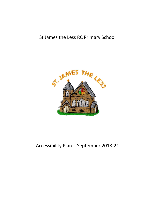# St James the Less RC Primary School



# Accessibility Plan - September 2018-21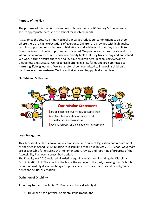#### **Purpose of the Plan**

The purpose of this plan is to show how St James the Less RC Primary School intends to secure appropriate access to the school for disabled pupils.

At St James the Less RC Primary School our values reflect our commitment to a school where there are high expectations of everyone. Children are provided with high quality learning opportunities so that each child attains and achieves all that they are able to. Everyone in our school is important and included. We promote an ethos of care and trust where every member of our school community feels that they truly belong and are valued. We work hard to ensure there are no invisible children here, recognising everyone's uniqueness and success. We recognise learning in all its forms and are committed to nurturing lifelong learners. We are a safe school, committed to improving children's confidence and self-esteem. We know that safe and happy children achieve.

# **Our Mission Statement**



#### **Legal Background**

This Accessibility Plan is drawn up in compliance with current legislation and requirements as specified in Schedule 10, relating to Disability, of the Equality Act 2010. School Governors are accountable for ensuring the implementation, review and reporting of progress of the Accessibility Plan over a prescribed period.

The Equality Act 2010 replaced all existing equality legislation, including the Disability Discrimination Act. The effect of the law is the same as in the past, meaning that "schools cannot unlawfully discriminate against pupils because of sex, race, disability, religion or belief and sexual orientation".

# **Definition of Disability**

According to the Equality Act 2010 a person has a disability if:

• He or she has a physical or mental impairment, **and**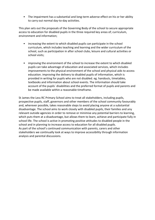• The impairment has a substantial and long-term adverse effect on his or her ability to carry out normal day-to-day activities.

This plan sets out the proposals of the Governing Body of the school to secure appropriate access to education for disabled pupils in the three required key areas of; curriculum, environment and information;

- increasing the extent to which disabled pupils can participate in the school curriculum, which includes teaching and learning and the wider curriculum of the school, such as participation in after school clubs, leisure and cultural activities or school visits;
- improving the environment of the school to increase the extent to which disabled pupils can take advantage of education and associated services, which includes improvements to the physical environment of the school and physical aids to access education. improving the delivery to disabled pupils of information, which is provided in writing for pupils who are not disabled. eg. handouts, timetables, textbooks and information about school events. The information should take account of the pupils` disabilities and the preferred format of pupils and parents and be made available within a reasonable timeframe.

St James the Less RC Primary School aims to treat all stakeholders, including pupils, prospective pupils, staff, governors and other members of the school community favourably and, wherever possible, takes reasonable steps to avoid placing anyone at a substantial disadvantage. The school aims to work closely with disabled pupils, their families and any relevant outside agencies in order to remove or minimise any potential barriers to learning, which puts them at a disadvantage, but allows them to learn, achieve and participate fully in school life. The school is active in promoting positive attitudes to disabled people in the school and in planning to increase access to education for all disabled pupils. As part of the school's continued communication with parents, carers and other stakeholders we continually look at ways to improve accessibility through information analysis and parental discussions.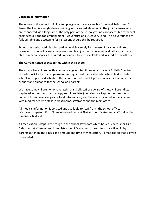# **Contextual Information**

The whole of the school building and playgrounds are accessible for wheelchair users. St James the Less is a single storey building with a raised elevation in the junior classes which are connected via a long ramp. The only part of the school grounds not accessible for wheel chair access is the top embankment – Adventure and Discovery Land. The playgrounds are fully suitable and accessible for PE lessons should this be required.

School has designated disabled parking which is solely for the use of disabled children, however, school will always make reasonable adjustments on an individual basis and are able to reserve spaces if required. A disabled toilet is available and located by the offices.

### **The Current Range of Disabilities within this school**

The school has children with a limited range of disabilities which include Autistic Spectrum Disorder, ADHDH, visual impairment and significant medical needs. When children enter school with specific disabilities, the school contacts the LA professionals for assessments, support and guidance for the school and parents.

We have some children who have asthma and all staff are aware of these children (lists displayed in classrooms and a copy kept in register). Inhalers are kept in the classrooms. Some children have allergies or food intolerances, and these are included in the 'children with medical needs' details in classrooms, staffroom and the main office.

All medical information is collated and available to staff from the school office. We have competent First Aiders who hold current First Aid certificates and staff trained in paediatric first aid.

All medication is kept in the fridge in the school staffroom which has easy access for First Aiders and staff members. Administration of Medicines consent forms are filled in by parents outlining the illness and amount and time of medication. All medication that is given is recorded.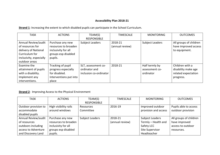# **Accessibility Plan 2018-21**

**Strand 1**: Increasing the extent to which disabled pupils can participate in the School Curriculum.

| <b>TASK</b>                                                                                                                   | <b>ACTIONS</b>                                                                                    | TEAM(S)<br><b>RESPONSIBLE</b>                                  | <b>TIMESCALE</b>           | <b>MONITORING</b>                             | <b>OUTCOMES</b>                                                            |
|-------------------------------------------------------------------------------------------------------------------------------|---------------------------------------------------------------------------------------------------|----------------------------------------------------------------|----------------------------|-----------------------------------------------|----------------------------------------------------------------------------|
| Annual Review/audit<br>of resources for<br>delivery of National<br>Curriculum for<br>inclusivity, especially<br>outdoor areas | Purchase any new<br>resources to broaden<br>inclusivity for all<br>groups esp disabled<br>pupils. | <b>Subject Leaders</b>                                         | 2018-21<br>(annual review) | Subject Leaders                               | All groups of children<br>have improved access<br>to equipment.            |
| Examine the<br>attainment of pupils<br>with a disability.<br>Implement any<br>interventions.                                  | Tracking of pupil<br>progress especially<br>for disabled.<br>Interventions put into<br>place      | SLT, assessment co-<br>ordinator and<br>inclusion co-ordinator | 2018-21                    | Half termly by<br>assessment co-<br>ordinator | Children with a<br>disability make age<br>related expectation<br>progress. |

**Strand 2:** Improving Access to the Physical Environment

| <b>TASK</b>          | <b>ACTIONS</b>        | TEAM(S)            | <b>TIMESCALE</b> | <b>MONITORING</b>      | <b>OUTCOMES</b>        |
|----------------------|-----------------------|--------------------|------------------|------------------------|------------------------|
|                      |                       | <b>RESPONSIBLE</b> |                  |                        |                        |
| Outdoor provision to | High visibility rails | Resources          | 2016-19          | Improved outdoor       | Pupils able to access  |
| accommodate          | around windows        | Committee          |                  | provision and access   | outdoor provision      |
| disabled pupils      |                       |                    |                  |                        |                        |
| Annual Review/audit  | Purchase any new      | Subject Leaders    | 2018-21          | <b>Subject Leaders</b> | All groups of children |
| of resources         | resources to broaden  |                    | (annual review)  | Termly - Health and    | have improved          |
| outdoors including   | inclusivity for all   |                    |                  | Safety LCC             | access to outdoor      |
| access to Adventure  | groups esp disabled   |                    |                  | Site Supervisor        | resources.             |
| and Discovery Land   | pupils.               |                    |                  | Headteacher            |                        |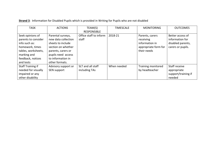| <b>TASK</b>                                                                                                                                         | <b>ACTIONS</b>                                                                                                                                                         | TEAM(S)<br><b>RESPONSIBLE</b>      | <b>TIMESCALE</b> | <b>MONITORING</b>                                                                     | <b>OUTCOMES</b>                                                               |
|-----------------------------------------------------------------------------------------------------------------------------------------------------|------------------------------------------------------------------------------------------------------------------------------------------------------------------------|------------------------------------|------------------|---------------------------------------------------------------------------------------|-------------------------------------------------------------------------------|
| Seek opinions of<br>parents to consider<br>info such as:<br>homework, times<br>tables, worksheets,<br>marking and<br>feedback, notices<br>and tests | Parental surveys,<br>new data collection<br>sheets to include<br>section on whether<br>parents, carers or<br>pupils need access<br>to information in<br>other formats. | Office staff to inform<br>staff    | 2018-21          | Parents, carers<br>receiving<br>information in<br>appropriate form for<br>their needs | Better access of<br>information for<br>disabled parents,<br>carers or pupils. |
| Staff Training if<br>needed for visually<br>impaired or any<br>other disability                                                                     | Advisory support or<br>SEN support                                                                                                                                     | SLT and all staff<br>including TAs | When needed      | Training monitored<br>by headteacher                                                  | Staff receive<br>appropriate<br>support/training if<br>needed                 |

| Strand 3: Information for Disabled Pupils which is provided in Writing for Pupils who are not disabled |  |  |  |
|--------------------------------------------------------------------------------------------------------|--|--|--|
|--------------------------------------------------------------------------------------------------------|--|--|--|